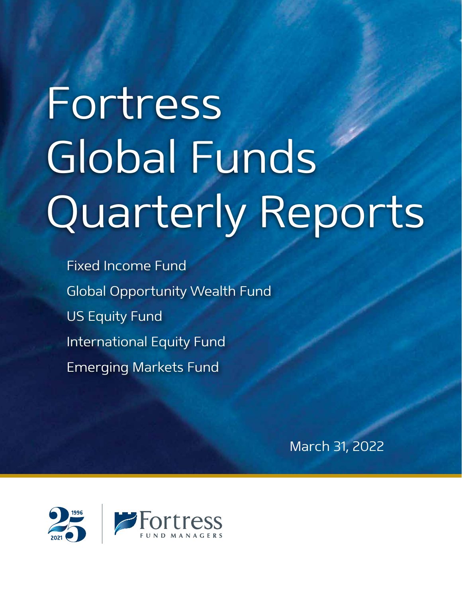# Fortress Global Funds Quarterly Reports

Fixed Income Fund Global Opportunity Wealth Fund US Equity Fund International Equity Fund Emerging Markets Fund

March 31, 2022

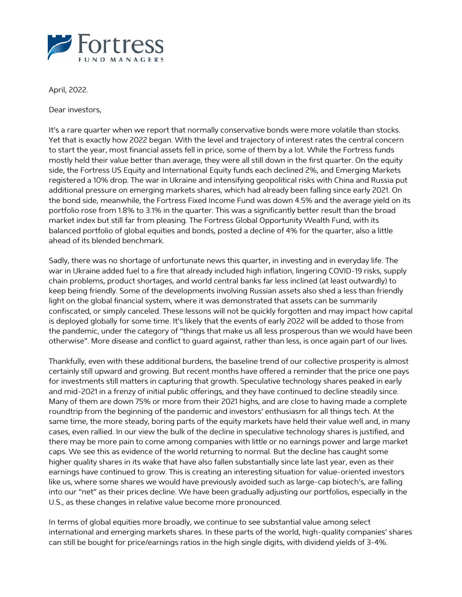

April, 2022.

Dear investors,

It's a rare quarter when we report that normally conservative bonds were more volatile than stocks. Yet that is exactly how 2022 began. With the level and trajectory of interest rates the central concern to start the year, most financial assets fell in price, some of them by a lot. While the Fortress funds mostly held their value better than average, they were all still down in the first quarter. On the equity side, the Fortress US Equity and International Equity funds each declined 2%, and Emerging Markets registered a 10% drop. The war in Ukraine and intensifying geopolitical risks with China and Russia put additional pressure on emerging markets shares, which had already been falling since early 2021. On the bond side, meanwhile, the Fortress Fixed Income Fund was down 4.5% and the average yield on its portfolio rose from 1.8% to 3.1% in the quarter. This was a significantly better result than the broad market index but still far from pleasing. The Fortress Global Opportunity Wealth Fund, with its balanced portfolio of global equities and bonds, posted a decline of 4% for the quarter, also a little ahead of its blended benchmark.

Sadly, there was no shortage of unfortunate news this quarter, in investing and in everyday life. The war in Ukraine added fuel to a fire that already included high inflation, lingering COVID-19 risks, supply chain problems, product shortages, and world central banks far less inclined (at least outwardly) to keep being friendly. Some of the developments involving Russian assets also shed a less than friendly light on the global financial system, where it was demonstrated that assets can be summarily confiscated, or simply canceled. These lessons will not be quickly forgotten and may impact how capital is deployed globally for some time. It's likely that the events of early 2022 will be added to those from the pandemic, under the category of "things that make us all less prosperous than we would have been otherwise". More disease and conflict to guard against, rather than less, is once again part of our lives.

Thankfully, even with these additional burdens, the baseline trend of our collective prosperity is almost certainly still upward and growing. But recent months have offered a reminder that the price one pays for investments still matters in capturing that growth. Speculative technology shares peaked in early and mid-2021 in a frenzy of initial public offerings, and they have continued to decline steadily since. Many of them are down 75% or more from their 2021 highs, and are close to having made a complete roundtrip from the beginning of the pandemic and investors' enthusiasm for all things tech. At the same time, the more steady, boring parts of the equity markets have held their value well and, in many cases, even rallied. In our view the bulk of the decline in speculative technology shares is justified, and there may be more pain to come among companies with little or no earnings power and large market caps. We see this as evidence of the world returning to normal. But the decline has caught some higher quality shares in its wake that have also fallen substantially since late last year, even as their earnings have continued to grow. This is creating an interesting situation for value-oriented investors like us, where some shares we would have previously avoided such as large-cap biotech's, are falling into our "net" as their prices decline. We have been gradually adjusting our portfolios, especially in the U.S., as these changes in relative value become more pronounced.

In terms of global equities more broadly, we continue to see substantial value among select international and emerging markets shares. In these parts of the world, high-quality companies' shares can still be bought for price/earnings ratios in the high single digits, with dividend yields of 3-4%.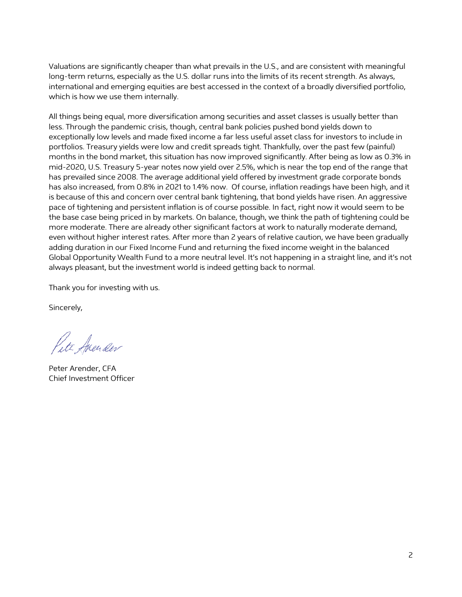Valuations are significantly cheaper than what prevails in the U.S., and are consistent with meaningful long-term returns, especially as the U.S. dollar runs into the limits of its recent strength. As always, international and emerging equities are best accessed in the context of a broadly diversified portfolio, which is how we use them internally.

All things being equal, more diversification among securities and asset classes is usually better than less. Through the pandemic crisis, though, central bank policies pushed bond yields down to exceptionally low levels and made fixed income a far less useful asset class for investors to include in portfolios. Treasury yields were low and credit spreads tight. Thankfully, over the past few (painful) months in the bond market, this situation has now improved significantly. After being as low as 0.3% in mid-2020, U.S. Treasury 5-year notes now yield over 2.5%, which is near the top end of the range that has prevailed since 2008. The average additional yield offered by investment grade corporate bonds has also increased, from 0.8% in 2021 to 1.4% now. Of course, inflation readings have been high, and it is because of this and concern over central bank tightening, that bond yields have risen. An aggressive pace of tightening and persistent inflation is of course possible. In fact, right now it would seem to be the base case being priced in by markets. On balance, though, we think the path of tightening could be more moderate. There are already other significant factors at work to naturally moderate demand, even without higher interest rates. After more than 2 years of relative caution, we have been gradually adding duration in our Fixed Income Fund and returning the fixed income weight in the balanced Global Opportunity Wealth Fund to a more neutral level. It's not happening in a straight line, and it's not always pleasant, but the investment world is indeed getting back to normal.

Thank you for investing with us.

Sincerely,

Pete Arender

Peter Arender, CFA Chief Investment Officer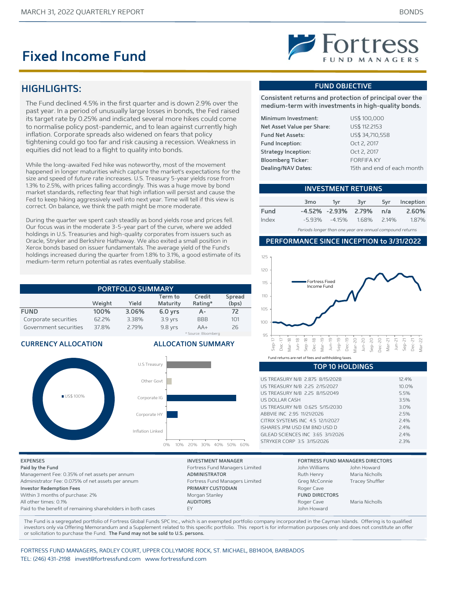## **Fixed Income Fund**

## **Fortress**

## **HIGHLIGHTS:**

The Fund declined 4.5% in the first quarter and is down 2.9% over the past year. In a period of unusually large losses in bonds, the Fed raised its target rate by 0.25% and indicated several more hikes could come to normalise policy post-pandemic, and to lean against currently high inflation. Corporate spreads also widened on fears that policy tightening could go too far and risk causing a recession. Weakness in equities did not lead to a flight to quality into bonds.

While the long-awaited Fed hike was noteworthy, most of the movement happened in longer maturities which capture the market's expectations for the size and speed of *future* rate increases. U.S. Treasury 5-year yields rose from 1.3% to 2.5%, with prices falling accordingly. This was a huge move by bond market standards, reflecting fear that high inflation will persist and cause the Fed to keep hiking aggressively well into next year. Time will tell if this view is correct. On balance, we think the path might be more moderate.

During the quarter we spent cash steadily as bond yields rose and prices fell. Our focus was in the moderate 3-5-year part of the curve, where we added holdings in U.S. Treasuries and high-quality corporates from issuers such as Oracle, Stryker and Berkshire Hathaway. We also exited a small position in Xerox bonds based on issuer fundamentals. The average yield of the Fund's holdings increased during the quarter from 1.8% to 3.1%, a good estimate of its medium-term return potential as rates eventually stabilise.

| <b>PORTFOLIO SUMMARY</b>    |        |       |           |                     |       |  |
|-----------------------------|--------|-------|-----------|---------------------|-------|--|
| Credit<br>Spread<br>Term to |        |       |           |                     |       |  |
|                             | Weight | Yield | Maturity  | Rating*             | (bps) |  |
| <b>FUND</b>                 | 100%   | 3.06% | $6.0$ yrs | А-                  | 72    |  |
| Corporate securities        | 62.2%  | 3.38% | $3.9$ yrs | <b>BBB</b>          | 101   |  |
| Government securities       | 37.8%  | 2.79% | 9.8 yrs   | $AA+$               | 26    |  |
|                             |        |       |           | * Source: Bloomberg |       |  |

#### **CURRENCY ALLOCATION ALLOCATION SUMMARY**





**Paid by the Fund** Fortress Fund Managers Limited John Williams John Williams John Howards John Williams John Howards John Howards John Howards John Williams John Howards John Howards John Howards John Howards John Howards **Investor Redemption Fees PRIMARY CUSTODIAN** Within 3 months of purchase: 2% Morgan Stanley **FULL DIRECTORS** All other times: 0.1% **AUDITORS AUDITORS** Paid to the benefit of remaining shareholders in both cases EY

#### **FUND OBJECTIVE**

**Consistent returns and protection of principal over the medium-term with investments in high-quality bonds.**

| US\$ 100,000               |
|----------------------------|
| US\$ 112.2153              |
| US\$ 34,710,558            |
| Oct 2, 2017                |
| Oct 2, 2017                |
| <b>FORFIFA KY</b>          |
| 15th and end of each month |
|                            |

#### **INVESTMENT RETURNS**

|       | 3 <sub>mo</sub> | 1vr                                | 3vr | 5vr | Inception |
|-------|-----------------|------------------------------------|-----|-----|-----------|
| Fund  |                 | -4.52% -2.93% 2.79%                |     | n/a | 2.60%     |
| Index |                 | $-5.93\%$ $-4.15\%$ $1.68\%$ 2.14% |     |     | 1.87%     |

*Periods longer than one year are annual compound returns*

#### **PERFORMANCE SINCE INCEPTION to 3/31/2022**



#### **TOP 10 HOLDINGS**

| US TREASURY N/B 2.875 8/15/2028   | 124%  |
|-----------------------------------|-------|
| US TREASURY N/B 2.25 2/15/2027    | 10.0% |
| US TREASURY N/B 2.25 8/15/2049    | 5.5%  |
| US DOLLAR CASH                    | 3.5%  |
| US TREASURY N/B 0.625 5/15/2030   | 3.0%  |
| ABBVIF INC 2.95 11/21/2026        | 25%   |
| CITRIX SYSTEMS INC 4.5 12/1/2027  | 2.4%  |
| ISHARES IPM LISD EM RND LISD D    | 24%   |
| GILFAD SCIENCES INC 3.65 3/1/2026 | 2.4%  |
| STRYKER CORP 3.5 3/15/2026        | 23%   |

#### **EXPENSES INVESTMENT MANAGER FORTRESS FUND MANAGERS DIRECTORS**

| Paid by the Fund                                            | Fortress Fund Managers Limited | John Williams         | John Howard            |
|-------------------------------------------------------------|--------------------------------|-----------------------|------------------------|
| Management Fee: 0.35% of net assets per annum               | <b>ADMINISTRATOR</b>           | Ruth Henry            | Maria Nicholls         |
| Administrator Fee: 0.075% of net assets per annum           | Fortress Fund Managers Limited | Greg McConnie         | <b>Tracey Shuffler</b> |
| <b>Investor Redemption Fees</b>                             | PRIMARY CUSTODIAN              | Roger Cave            |                        |
| Within 3 months of purchase: 2%                             | Morgan Stanley                 | <b>FUND DIRECTORS</b> |                        |
| All other times: 0.1%                                       | <b>AUDITORS</b>                | Roger Cave            | Maria Nicholls         |
| Paid to the benefit of remaining shareholders in both cases |                                | John Howard           |                        |

The Fund is a segregated portfolio of Fortress Global Funds SPC Inc., which is an exempted portfolio company incorporated in the Cayman Islands. Offering is to qualified investors only via Offering Memorandum and a Supplement related to this specific portfolio. This report is for information purposes only and does not constitute an offer or solicitation to purchase the Fund. **The Fund may not be sold to U.S. persons.**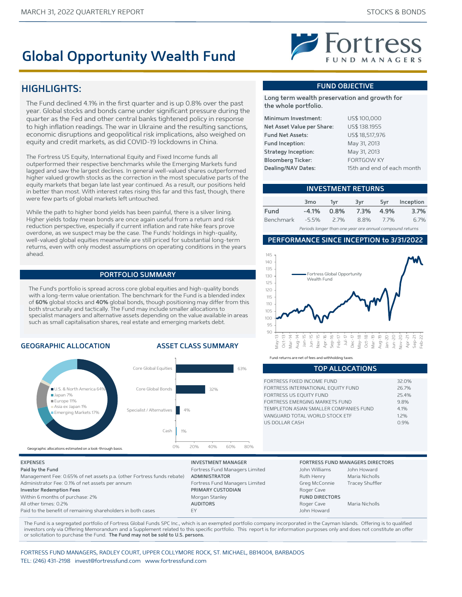## **Global Opportunity Wealth Fund**

## **HIGHLIGHTS:**

The Fund declined 4.1% in the first quarter and is up 0.8% over the past year. Global stocks and bonds came under significant pressure during the quarter as the Fed and other central banks tightened policy in response to high inflation readings. The war in Ukraine and the resulting sanctions, economic disruptions and geopolitical risk implications, also weighed on equity and credit markets, as did COVID-19 lockdowns in China.

The Fortress US Equity, International Equity and Fixed Income funds all outperformed their respective benchmarks while the Emerging Markets fund lagged and saw the largest declines. In general well-valued shares outperformed higher valued growth stocks as the correction in the most speculative parts of the equity markets that began late last year continued. As a result, our positions held in better than most. With interest rates rising this far and this fast, though, there were few parts of global markets left untouched.

While the path to higher bond yields has been painful, there is a silver lining. Higher yields today mean bonds are once again useful from a return and risk reduction perspective, especially if current inflation and rate hike fears prove overdone, as we suspect may be the case. The Funds' holdings in high-quality, well-valued global equities meanwhile are still priced for substantial long-term returns, even with only modest assumptions on operating conditions in the years ahead.

#### **PORTFOLIO SUMMARY**

The Fund's portfolio is spread across core global equities and high-quality bonds with a long-term value orientation. The benchmark for the Fund is a blended index of **60%** global stocks and **40%** global bonds, though positioning may differ from this both structurally and tactically. The Fund may include smaller allocations to specialist managers and alternative assets depending on the value available in areas such as small capitalisation shares, real estate and emerging markets debt.

#### **GEOGRAPHIC ALLOCATION ASSET CLASS SUMMARY**



#### **FUND OBJECTIVE**

 $\blacktriangleright$  Fortress

**Long term wealth preservation and growth for the whole portfolio.**

| Minimum Investment:        | US\$ 100,000               |
|----------------------------|----------------------------|
| Net Asset Value per Share: | US\$ 138.1955              |
| <b>Fund Net Assets:</b>    | US\$ 18,517,976            |
| Fund Inception:            | May 31, 2013               |
| <b>Strategy Inception:</b> | May 31, 2013               |
| <b>Bloomberg Ticker:</b>   | <b>FORTGOW KY</b>          |
| Dealing/NAV Dates:         | 15th and end of each month |
|                            |                            |

#### **INVESTMENT RETURNS**

|           | 3 <sub>mo</sub> | 1vr     | 3vr  | 5vr       | Inception |
|-----------|-----------------|---------|------|-----------|-----------|
| Fund      | -4.1%           | $0.8\%$ |      | 7.3% 4.9% | 3.7%      |
| Benchmark | -5.5%           | $2.7\%$ | 8.8% | 77%       | 6.7%      |
|           |                 |         |      |           |           |

*Periods longer than one year are annual compound returns*

#### **PERFORMANCE SINCE INCEPTION to 3/31/2022**



Fund returns are net of fees and withholding taxe

| FORTRESS FIXED INCOME FUND             | 32.0% |
|----------------------------------------|-------|
| FORTRESS INTERNATIONAL EQUITY FUND     | 26.7% |
| FORTRESS US EQUITY FUND                | 254%  |
| FORTRESS EMERGING MARKETS FUND         | 98%   |
| TEMPLETON ASIAN SMALLER COMPANIES FUND | 4 1%  |
| VANGUARD TOTAL WORLD STOCK ETF         | 12%   |
| US DOLLAR CASH                         | 0.9%  |
|                                        |       |

**TOP ALLOCATIONS**

| Paid by the Fund                                                       | Fortress Fund Managers Limited | John Williams         | John Howard            |
|------------------------------------------------------------------------|--------------------------------|-----------------------|------------------------|
| Management Fee: 0.65% of net assets p.a. (other Fortress funds rebate) | ADMINISTRATOR                  | Ruth Henry            | Maria Nicholls         |
| Administrator Fee: 0.1% of net assets per annum                        | Fortress Fund Managers Limited | Greg McConnie         | <b>Tracey Shuffler</b> |
| <b>Investor Redemption Fees</b>                                        | PRIMARY CUSTODIAN              | Roger Cave            |                        |
| Within 6 months of purchase: 2%                                        | Morgan Stanley                 | <b>FUND DIRECTORS</b> |                        |
| All other times: 0.2%                                                  | <b>AUDITORS</b>                | Roger Cave            | Maria Nicholls         |
| Paid to the benefit of remaining shareholders in both cases            | <b>FY</b>                      | John Howard           |                        |

The Fund is a segregated portfolio of Fortress Global Funds SPC Inc., which is an exempted portfolio company incorporated in the Cayman Islands. Offering is to qualified investors only via Offering Memorandum and a Supplement related to this specific portfolio. This report is for information purposes only and does not constitute an offer or solicitation to purchase the Fund. **The Fund may not be sold to U.S. persons.**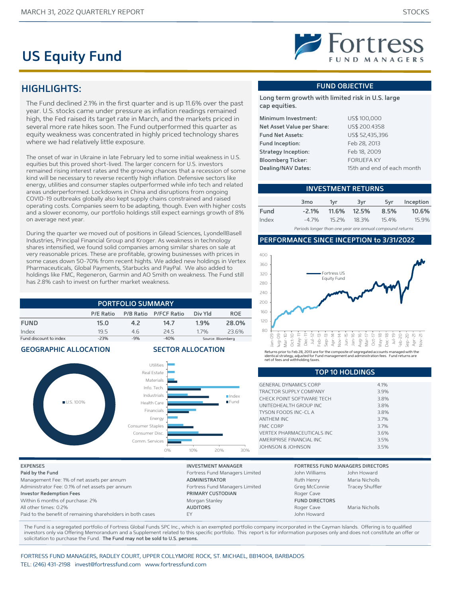## **US Equity Fund**

### **HIGHLIGHTS:**

The Fund declined 2.1% in the first quarter and is up 11.6% over the past year. U.S. stocks came under pressure as inflation readings remained high, the Fed raised its target rate in March, and the markets priced in several more rate hikes soon. The Fund outperformed this quarter as equity weakness was concentrated in highly priced technology shares where we had relatively little exposure.

The onset of war in Ukraine in late February led to some initial weakness in U.S. equities but this proved short-lived. The larger concern for U.S. investors remained rising interest rates and the growing chances that a recession of some kind will be necessary to reverse recently high inflation. Defensive sectors like energy, utilities and consumer staples outperformed while info tech and related areas underperformed. Lockdowns in China and disruptions from ongoing COVID-19 outbreaks globally also kept supply chains constrained and raised operating costs. Companies seem to be adapting, though. Even with higher costs and a slower economy, our portfolio holdings still expect earnings growth of 8% on average next year.

During the quarter we moved out of positions in Gilead Sciences, LyondellBasell Industries, Principal Financial Group and Kroger. As weakness in technology shares intensified, we found solid companies among similar shares on sale at very reasonable prices. These are profitable, growing businesses with prices in some cases down 50-70% from recent hights. We added new holdings in Vertex Pharmaceuticals, Global Payments, Starbucks and PayPal. We also added to holdings like FMC, Regeneron, Garmin and AO Smith on weakness. The Fund still has 2.8% cash to invest on further market weakness.

**PORTFOLIO SUMMARY**

|                        | P/E Ratio |       | P/B Ratio P/FCF Ratio | Div Yld | <b>ROE</b>        |  |
|------------------------|-----------|-------|-----------------------|---------|-------------------|--|
| <b>FUND</b>            | 15.0      | 42    | 14.7                  | 1.9%    | 28.0%             |  |
| Index                  | 195       | 46    | 24.5                  | 17%     | 23.6%             |  |
| Fund discount to index | $-23%$    | $-9%$ | $-40%$                |         | Source: Bloomberg |  |

**GEOGRAPHIC ALLOCATION SECTOR ALLOCATION**





#### **FUND OBJECTIVE**

**Long term growth with limited risk in U.S. large cap equities.**

| Minimum Investment:        | US\$ 100,000               |
|----------------------------|----------------------------|
| Net Asset Value per Share: | US\$ 200.4358              |
| <b>Fund Net Assets:</b>    | US\$ 52,435,396            |
| Fund Inception:            | Feb 28, 2013               |
| <b>Strategy Inception:</b> | Feb 18, 2009               |
| <b>Bloomberg Ticker:</b>   | <b>FORUEFA KY</b>          |
| Dealing/NAV Dates:         | 15th and end of each month |

#### **INVESTMENT RETURNS**

|       | 3 <sub>mo</sub> | 1vr   | 3vr         | 5vr  | Inception |
|-------|-----------------|-------|-------------|------|-----------|
| Fund  | $-2.1%$         |       | 11.6% 12.5% | 8.5% | 10.6%     |
| Index | $-47%$          | 15.2% | 18.3%       | 154% | 15.9%     |

*Periods longer than one year are annual compound returns*

#### **PERFORMANCE SINCE INCEPTION to 3/31/2022**



| .                             |      |
|-------------------------------|------|
|                               |      |
| <b>GENERAL DYNAMICS CORP</b>  | 4.1% |
| <b>TRACTOR SUPPLY COMPANY</b> | 3.9% |
| CHECK POINT SOFTWARE TECH     | 3.8% |
| UNITEDHEALTH GROUP INC.       | 3.8% |
| <b>TYSON FOODS INC-CLA</b>    | 3.8% |
| <b>ANTHEM INC</b>             | 3.7% |
| <b>FMC CORP</b>               | 3.7% |
| VERTEX PHARMACEUTICALS INC    | 3.6% |
| AMERIPRISE FINANCIAL INC      | 3.5% |
| JOHNSON & JOHNSON             | 3.5% |

**TOP 10 HOLDINGS**

| <b>EXPENSES</b>                                             | <b>INVESTMENT MANAGER</b>      |                       | <b>FORTRESS FUND MANAGERS DIRECTORS</b> |
|-------------------------------------------------------------|--------------------------------|-----------------------|-----------------------------------------|
| Paid by the Fund                                            | Fortress Fund Managers Limited | John Williams         | John Howard                             |
| Management Fee: 1% of net assets per annum                  | <b>ADMINISTRATOR</b>           | Ruth Henry            | Maria Nicholls                          |
| Administrator Fee: 0.1% of net assets per annum             | Fortress Fund Managers Limited | Greg McConnie         | <b>Tracey Shuffler</b>                  |
| <b>Investor Redemption Fees</b>                             | PRIMARY CUSTODIAN              | Roger Cave            |                                         |
| Within 6 months of purchase: 2%                             | Morgan Stanley                 | <b>FUND DIRECTORS</b> |                                         |
| All other times: 0.2%                                       | <b>AUDITORS</b>                | Roger Cave            | Maria Nicholls                          |
| Paid to the benefit of remaining shareholders in both cases | FY                             | John Howard           |                                         |
|                                                             |                                |                       |                                         |

The Fund is a segregated portfolio of Fortress Global Funds SPC Inc., which is an exempted portfolio company incorporated in the Cayman Islands. Offering is to qualified investors only via Offering Memorandum and a Supplement related to this specific portfolio. This report is for information purposes only and does not constitute an offer or solicitation to purchase the Fund. **The Fund may not be sold to U.S. persons.**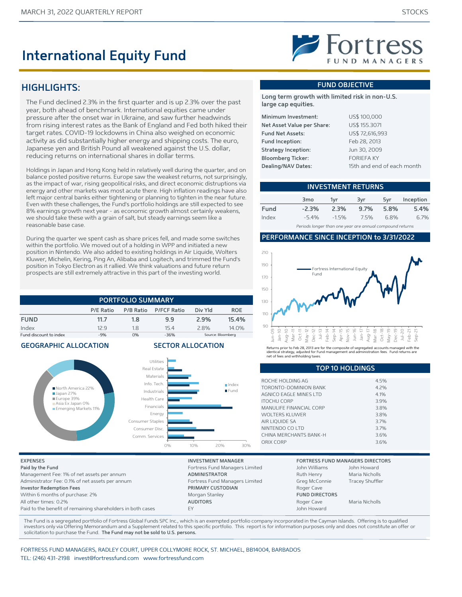## **International Equity Fund**

#### **HIGHLIGHTS:**

The Fund declined 2.3% in the first quarter and is up 2.3% over the past year, both ahead of benchmark. International equities came under pressure after the onset war in Ukraine, and saw further headwinds from rising interest rates as the Bank of England and Fed both hiked their target rates. COVID-19 lockdowns in China also weighed on economic activity as did substantially higher energy and shipping costs. The euro, Japanese yen and British Pound all weakened against the U.S. dollar, reducing returns on international shares in dollar terms.

Holdings in Japan and Hong Kong held in relatively well during the quarter, and on balance posted positive returns. Europe saw the weakest returns, not surprisingly, as the impact of war, rising geopolitical risks, and direct economic distruptions via energy and other markets was most acute there. High inflation readings have also left major central banks either tightening or planning to tighten in the near future. Even with these challenges, the Fund's portfolio holdings are still expected to see 8% earnings growth next year - as economic growth almost certainly weakens, we should take these with a grain of salt, but steady earnings seem like a reasonable base case.

During the quarter we spent cash as share prices fell, and made some switches within the portfolio. We moved out of a holding in WPP and initiated a new position in Nintendo. We also added to existing holdings in Air Liquide, Wolters Kluwer, Michelin, Kering, Ping An, Alibaba and Logitech, and trimmed the Fund's position in Tokyo Electron as it rallied. We think valuations and future return prospects are still extremely attractive in this part of the investing world.

#### **PORTFOLIO SUMMARY P/E Ratio P/B Ratio P/FCF Ratio Div Yld ROE FUND 11.7 1.8 9.9 2.9% 15.4%** Index 12.9 1.8 15.4 2.8% 14.0% Fund discount to index -9% 0% -36% -36% Source: Bloomberg

#### **GEOGRAPHIC ALLOCATION SECTOR ALLOCATION**



**Paid by the Fund** Fortress Fund Managers Limited John Williams John Howard Management Fee: 1% of net assets per annum **ADMINISTRATOR** Ruth Henry Maria Nicholls Administrator Fee: 0.1% of net assets per annum example and Managers Limited Greg McConnie Tracey Shuffler **Investor Redemption Fees PRIMARY CUSTODIAN** Roger Cave Within 6 months of purchase: 2% **FUND DIRECTORS** Morgan Stanley **FUND DIRECTORS** All other times: 0.2% **AUDITORS** AUDITORS Roger Cave Maria Nicholls Paid to the benefit of remaining shareholders in both cases EY John Howard

Fortress International Equit Fund

190 210



Returns prior to Feb 28, 2013 are for the composite of segregated accounts managed with the identical strategy, adjusted for Fund management and administration fees. Fund returns are net of fees and withholding taxes.

| <b>TOP 10 HOLDINGS</b>  |      |  |
|-------------------------|------|--|
|                         |      |  |
| ROCHE HOLDING AG        | 4.5% |  |
| TORONTO-DOMINION BANK   | 4.2% |  |
| AGNICO FAGLE MINES LTD  | 4.1% |  |
| <b>ITOCHU CORP</b>      | 3.9% |  |
| MANULIFE FINANCIAL CORP | 3.8% |  |
| WOLTERS KLUWER          | 3.8% |  |
| AIR LIQUIDE SA          | 3.7% |  |
| NINTENDO CO LTD         | 3.7% |  |
| CHINA MERCHANTS BANK-H  | 3.6% |  |
| ORIX CORP               | 3.6% |  |
|                         |      |  |

#### **EXPENSES INVESTMENT MANAGER FORTRESS FUND MANAGERS DIRECTORS**

The Fund is a segregated portfolio of Fortress Global Funds SPC Inc., which is an exempted portfolio company incorporated in the Cayman Islands. Offering is to qualified investors only via Offering Memorandum and a Supplement related to this specific portfolio. This report is for information purposes only and does not constitute an offer or solicitation to purchase the Fund. **The Fund may not be sold to U.S. persons.**

FORTRESS FUND MANAGERS, RADLEY COURT, UPPER COLLYMORE ROCK, ST. MICHAEL, BB14004, BARBADOS TEL: (246) 431-2198 invest@fortressfund.com www.fortressfund.com



#### **FUND OBJECTIVE**

**Long term growth with limited risk in non-U.S. large cap equities.**

| Minimum Investment:        | US\$ 100,000               |
|----------------------------|----------------------------|
| Net Asset Value per Share: | US\$ 155.3071              |
| <b>Fund Net Assets:</b>    | US\$ 72,616,993            |
| Fund Inception:            | Feb 28, 2013               |
| <b>Strategy Inception:</b> | Jun 30, 2009               |
| <b>Bloomberg Ticker:</b>   | <b>FORIEFA KY</b>          |
| Dealing/NAV Dates:         | 15th and end of each month |
|                            |                            |

| <b>INVESTMENT RETURNS</b> |                 |        |      |      |           |
|---------------------------|-----------------|--------|------|------|-----------|
|                           | 3 <sub>mo</sub> | 1vr    | 3vr  | 5vr  | Inception |
| Fund                      | $-2.3%$         | 2.3%   | 9.7% | 5.8% | 5.4%      |
| Index                     | $-5.4%$         | $-15%$ | 75%  | 6.8% | 6.7%      |

*Periods longer than one year are annual compound returns*

#### **PERFORMANCE SINCE INCEPTION to 3/31/2022**